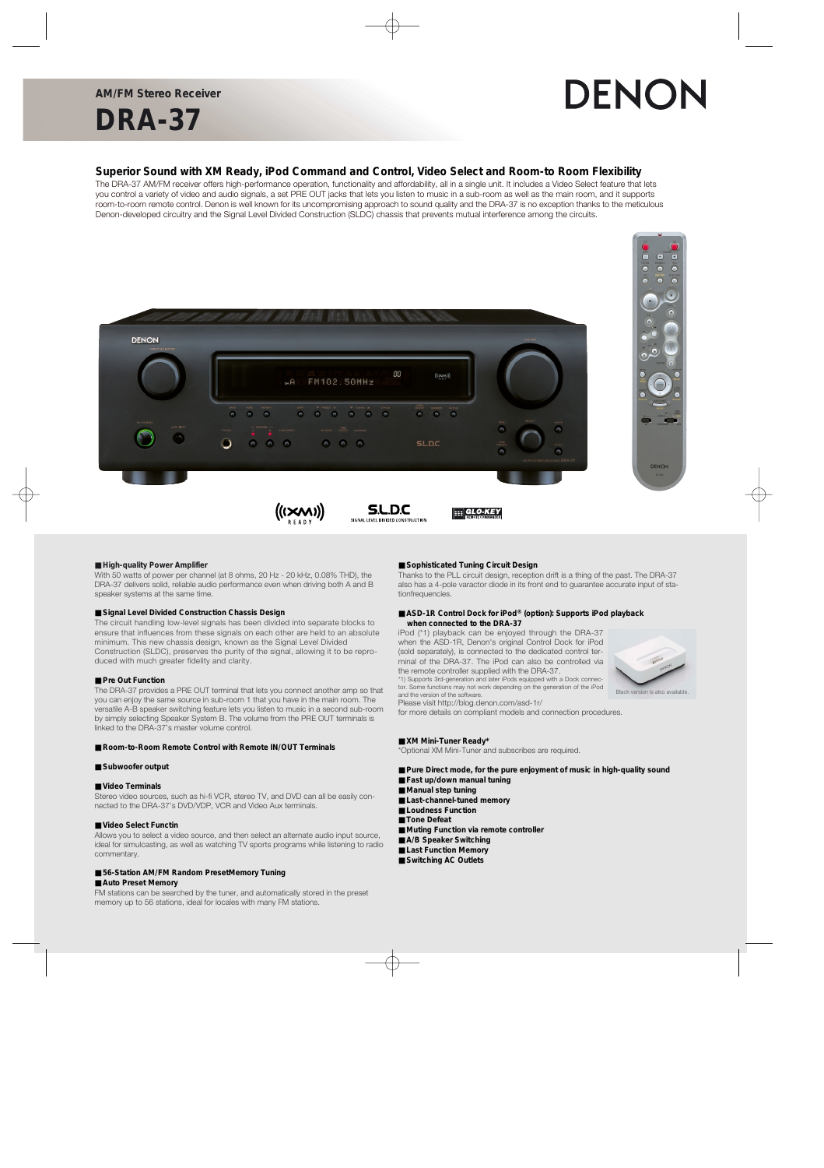**DRA-37**

# DENON

### **Superior Sound with XM Ready, iPod Command and Control, Video Select and Room-to Room Flexibility**

The DRA-37 AM/FM receiver offers high-performance operation, functionality and affordability, all in a single unit. It includes a Video Select feature that lets you control a variety of video and audio signals, a set PRE OUT jacks that lets you listen to music in a sub-room as well as the main room, and it supports room-to-room remote control. Denon is well known for its uncompromising approach to sound quality and the DRA-37 is no exception thanks to the meticulous Denon-developed circuitry and the Signal Level Divided Construction (SLDC) chassis that prevents mutual interference among the circuits.



#### ■ **High-quality Power Amplifier**

With 50 watts of power per channel (at 8 ohms, 20 Hz - 20 kHz, 0.08% THD), the DRA-37 delivers solid, reliable audio performance even when driving both A and B speaker systems at the same time.

#### ■ **Signal Level Divided Construction Chassis Design**

The circuit handling low-level signals has been divided into separate blocks to ensure that influences from these signals on each other are held to an absolute minimum. This new chassis design, known as the Signal Level Divided Construction (SLDC), preserves the purity of the signal, allowing it to be reproduced with much greater fidelity and clarity.

#### ■ **Pre Out Function**

The DRA-37 provides a PRE OUT terminal that lets you connect another amp so that you can enjoy the same source in sub-room 1 that you have in the main room. The versatile A-B speaker switching feature lets you listen to music in a second sub-room by simply selecting Speaker System B. The volume from the PRE OUT terminals is linked to the DRA-37's master volume control.

#### ■ **Room-to-Room Remote Control with Remote IN/OUT Terminals**

#### ■ Subwoofer output

#### ■ **Video Terminals**

Stereo video sources, such as hi-fi VCR, stereo TV, and DVD can all be easily connected to the DRA-37's DVD/VDP, VCR and Video Aux terminals.

#### ■ Video Select Functin

Allows you to select a video source, and then select an alternate audio input source, ideal for simulcasting, as well as watching TV sports programs while listening to radio commentary.

#### ■ 56-Station AM/FM Random PresetMemory Tuning ■ Auto Preset Memory

FM stations can be searched by the tuner, and automatically stored in the preset memory up to 56 stations, ideal for locales with many FM stations.

#### ■ Sophisticated Tuning Circuit Design

Thanks to the PLL circuit design, reception drift is a thing of the past. The DRA-37 also has a 4-pole varactor diode in its front end to guarantee accurate input of stationfrequencies.

#### ■ **ASD-1R Control Dock for iPod®** (option): Supports iPod playback **when connected to the DRA-37**

iPod (\*1) playback can be enjoyed through the DRA-37 when the ASD-1R, Denon's original Control Dock for iPod (sold separately), is connected to the dedicated control terminal of the DRA-37. The iPod can also be controlled via the remote controller supplied with the DRA-37. \*1) Supports 3rd-generation and later iPods equipped with a Dock connec-

tor. Some functions may not work depending on the generation of the iPod



Black version is also available.

Please visit http://blog.denon.com/asd-1r/

for more details on compliant models and connection procedures.

#### ■ **XM Mini-Tuner Ready\***

and the version of the software.

\*Optional XM Mini-Tuner and subscribes are required.

- Pure Direct mode, for the pure enjoyment of music in high-quality sound
- **Fast up/down manual tuning**
- Manual step tuning
- Last-channel-tuned memory
- **Loudness Function**
- **Tone Defeat**
- Muting Function via remote controller
- A/B Speaker Switching
- Last Function Memory
- **Switching AC Outlets**